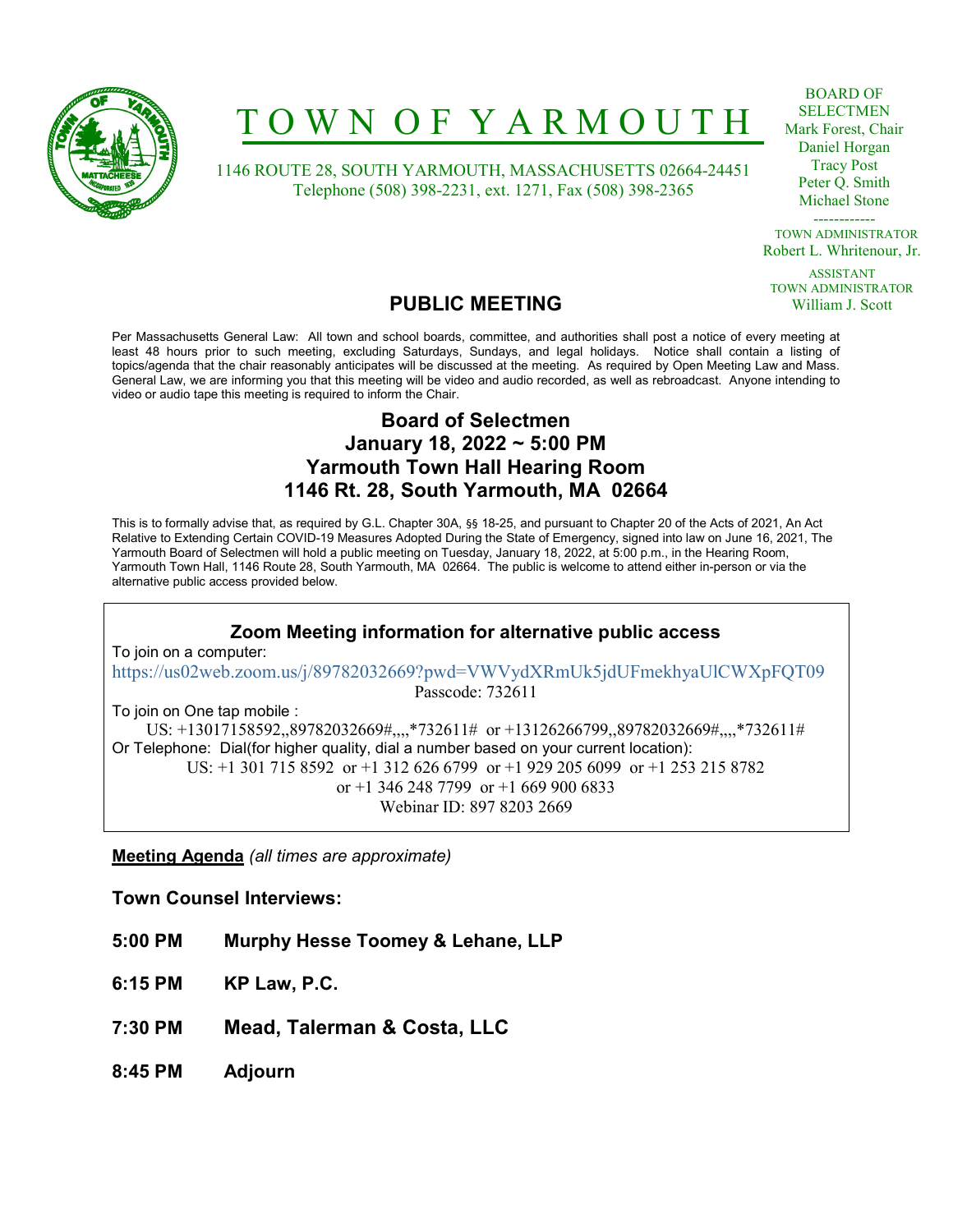

# T O W N O F Y A R M O U T H

 1146 ROUTE 28, SOUTH YARMOUTH, MASSACHUSETTS 02664-24451 Telephone (508) 398-2231, ext. 1271, Fax (508) 398-2365

BOARD OF SELECTMEN Mark Forest, Chair Daniel Horgan Tracy Post Peter Q. Smith Michael Stone

------------ TOWN ADMINISTRATOR Robert L. Whritenour, Jr.

ASSISTANT TOWN ADMINISTRATOR William J. Scott

### PUBLIC MEETING

Per Massachusetts General Law: All town and school boards, committee, and authorities shall post a notice of every meeting at least 48 hours prior to such meeting, excluding Saturdays, Sundays, and legal holidays. Notice shall contain a listing of topics/agenda that the chair reasonably anticipates will be discussed at the meeting. As required by Open Meeting Law and Mass. General Law, we are informing you that this meeting will be video and audio recorded, as well as rebroadcast. Anyone intending to video or audio tape this meeting is required to inform the Chair.

### Board of Selectmen January 18, 2022 ~ 5:00 PM Yarmouth Town Hall Hearing Room 1146 Rt. 28, South Yarmouth, MA 02664

This is to formally advise that, as required by G.L. Chapter 30A, §§ 18-25, and pursuant to Chapter 20 of the Acts of 2021, An Act Relative to Extending Certain COVID-19 Measures Adopted During the State of Emergency, signed into law on June 16, 2021, The Yarmouth Board of Selectmen will hold a public meeting on Tuesday, January 18, 2022, at 5:00 p.m., in the Hearing Room, Yarmouth Town Hall, 1146 Route 28, South Yarmouth, MA 02664. The public is welcome to attend either in-person or via the alternative public access provided below.

### Zoom Meeting information for alternative public access

To join on a computer: https://us02web.zoom.us/j/89782032669?pwd=VWVydXRmUk5jdUFmekhyaUlCWXpFQT09 Passcode: 732611

To join on One tap mobile : US: +13017158592,,89782032669#,,,,\*732611# or +13126266799,,89782032669#,,,,\*732611# Or Telephone: Dial(for higher quality, dial a number based on your current location): US: +1 301 715 8592 or +1 312 626 6799 or +1 929 205 6099 or +1 253 215 8782 or +1 346 248 7799 or +1 669 900 6833 Webinar ID: 897 8203 2669

Meeting Agenda (all times are approximate)

Town Counsel Interviews:

- 5:00 PM Murphy Hesse Toomey & Lehane, LLP
- 6:15 PM KP Law, P.C.
- 7:30 PM Mead, Talerman & Costa, LLC
- 8:45 PM Adjourn